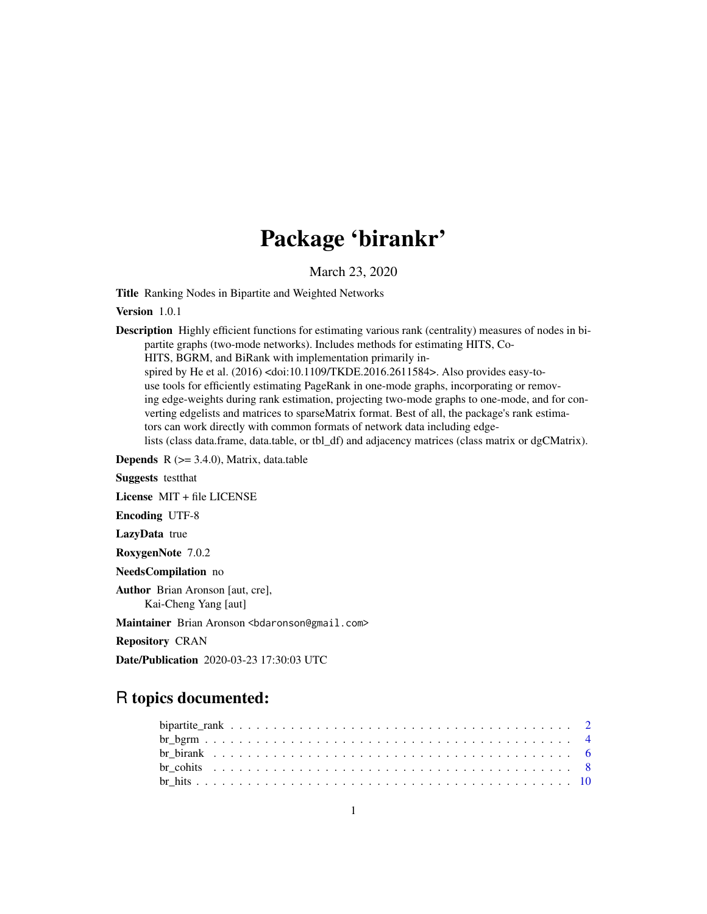# Package 'birankr'

March 23, 2020

Title Ranking Nodes in Bipartite and Weighted Networks

Version 1.0.1

Description Highly efficient functions for estimating various rank (centrality) measures of nodes in bipartite graphs (two-mode networks). Includes methods for estimating HITS, Co-HITS, BGRM, and BiRank with implementation primarily inspired by He et al. (2016) <doi:10.1109/TKDE.2016.2611584>. Also provides easy-touse tools for efficiently estimating PageRank in one-mode graphs, incorporating or removing edge-weights during rank estimation, projecting two-mode graphs to one-mode, and for converting edgelists and matrices to sparseMatrix format. Best of all, the package's rank estimators can work directly with common formats of network data including edgelists (class data.frame, data.table, or tbl\_df) and adjacency matrices (class matrix or dgCMatrix).

**Depends**  $R$  ( $>= 3.4.0$ ), Matrix, data.table

Suggests testthat

License MIT + file LICENSE

Encoding UTF-8

LazyData true

RoxygenNote 7.0.2

NeedsCompilation no

Author Brian Aronson [aut, cre], Kai-Cheng Yang [aut]

Maintainer Brian Aronson <bdaronson@gmail.com>

Repository CRAN

Date/Publication 2020-03-23 17:30:03 UTC

# R topics documented: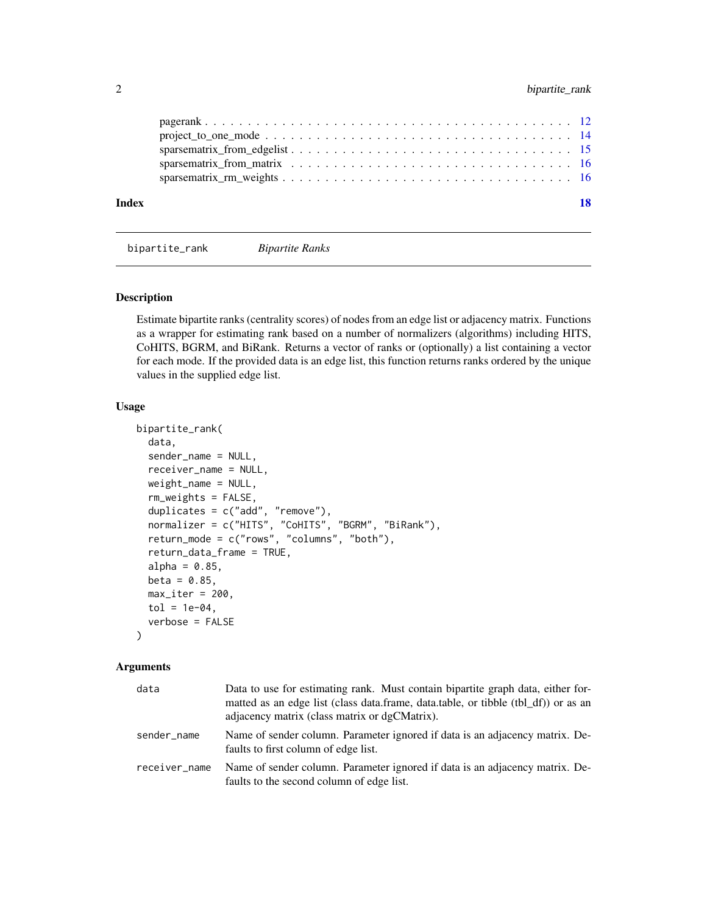<span id="page-1-0"></span>

| Index |  |
|-------|--|
|       |  |
|       |  |
|       |  |
|       |  |
|       |  |

bipartite\_rank *Bipartite Ranks*

# **Description**

Estimate bipartite ranks (centrality scores) of nodes from an edge list or adjacency matrix. Functions as a wrapper for estimating rank based on a number of normalizers (algorithms) including HITS, CoHITS, BGRM, and BiRank. Returns a vector of ranks or (optionally) a list containing a vector for each mode. If the provided data is an edge list, this function returns ranks ordered by the unique values in the supplied edge list.

# Usage

```
bipartite_rank(
  data,
  sender_name = NULL,
  receiver_name = NULL,
  weight_name = NULL,
  rm_weights = FALSE,
  duplicates = c("add", "remove"),
  normalizer = c("HITS", "CoHITS", "BGRM", "BiRank"),
  return_mode = c("rows", "columns", "both"),
  return_data_frame = TRUE,
  alpha = 0.85,
  beta = 0.85,
  max\_iter = 200,
  tol = 1e-04,verbose = FALSE
)
```

| data          | Data to use for estimating rank. Must contain bipartite graph data, either for-<br>matted as an edge list (class data.frame, data.table, or tibble (tbl_df)) or as an<br>adjacency matrix (class matrix or dgCMatrix). |
|---------------|------------------------------------------------------------------------------------------------------------------------------------------------------------------------------------------------------------------------|
| sender name   | Name of sender column. Parameter ignored if data is an adjacency matrix. De-<br>faults to first column of edge list.                                                                                                   |
| receiver_name | Name of sender column. Parameter ignored if data is an adjacency matrix. De-<br>faults to the second column of edge list.                                                                                              |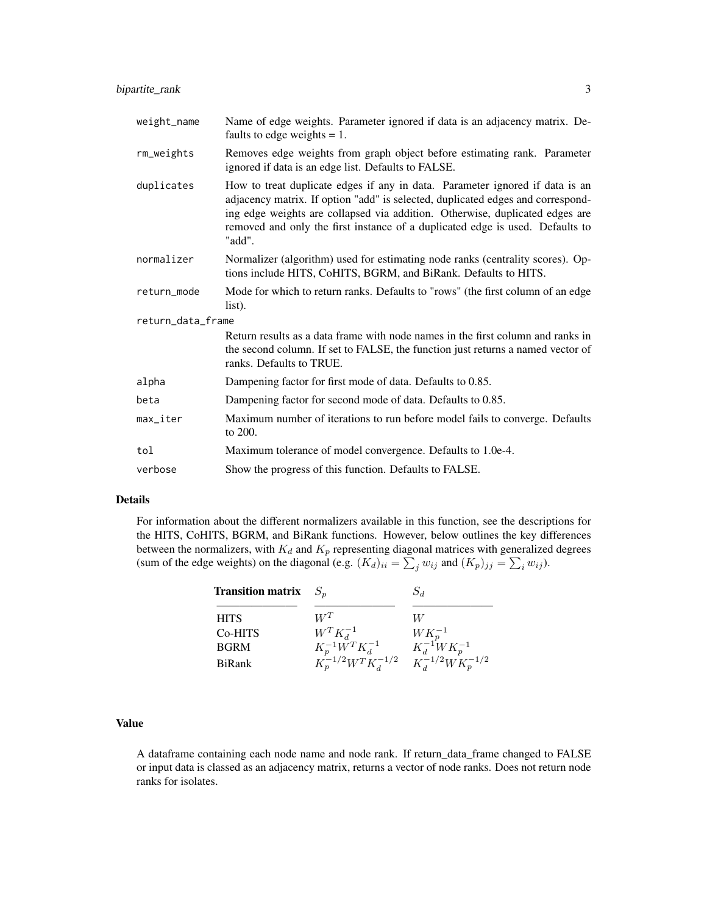| weight_name            | Name of edge weights. Parameter ignored if data is an adjacency matrix. De-<br>faults to edge weights $= 1$ .                                                                                                                                                                                                                              |
|------------------------|--------------------------------------------------------------------------------------------------------------------------------------------------------------------------------------------------------------------------------------------------------------------------------------------------------------------------------------------|
| rm_weights             | Removes edge weights from graph object before estimating rank. Parameter<br>ignored if data is an edge list. Defaults to FALSE.                                                                                                                                                                                                            |
| duplicates             | How to treat duplicate edges if any in data. Parameter ignored if data is an<br>adjacency matrix. If option "add" is selected, duplicated edges and correspond-<br>ing edge weights are collapsed via addition. Otherwise, duplicated edges are<br>removed and only the first instance of a duplicated edge is used. Defaults to<br>"add". |
| normalizer             | Normalizer (algorithm) used for estimating node ranks (centrality scores). Op-<br>tions include HITS, CoHITS, BGRM, and BiRank. Defaults to HITS.                                                                                                                                                                                          |
| return_mode            | Mode for which to return ranks. Defaults to "rows" (the first column of an edge<br>list).                                                                                                                                                                                                                                                  |
| return_data_frame      |                                                                                                                                                                                                                                                                                                                                            |
|                        | Return results as a data frame with node names in the first column and ranks in<br>the second column. If set to FALSE, the function just returns a named vector of<br>ranks. Defaults to TRUE.                                                                                                                                             |
| alpha                  | Dampening factor for first mode of data. Defaults to 0.85.                                                                                                                                                                                                                                                                                 |
| beta                   | Dampening factor for second mode of data. Defaults to 0.85.                                                                                                                                                                                                                                                                                |
| $max$ <sub>Liter</sub> | Maximum number of iterations to run before model fails to converge. Defaults<br>to 200.                                                                                                                                                                                                                                                    |
| tol                    | Maximum tolerance of model convergence. Defaults to 1.0e-4.                                                                                                                                                                                                                                                                                |
| verbose                | Show the progress of this function. Defaults to FALSE.                                                                                                                                                                                                                                                                                     |

#### Details

For information about the different normalizers available in this function, see the descriptions for the HITS, CoHITS, BGRM, and BiRank functions. However, below outlines the key differences between the normalizers, with  $K_d$  and  $K_p$  representing diagonal matrices with generalized degrees (sum of the edge weights) on the diagonal (e.g.  $(K_d)_{ii} = \sum_j w_{ij}$  and  $(K_p)_{jj} = \sum_i w_{ij}$ ).

| <b>Transition matrix</b> | $S_n$                                              | $S_d$                       |
|--------------------------|----------------------------------------------------|-----------------------------|
| <b>HITS</b>              | $W^T$                                              | W                           |
| Co-HITS                  | $W^T K_d^{-1}$                                     | $WK_n^{-1}$                 |
| <b>BGRM</b>              | $K_p^{-1}W^TK_d^{-1}$<br>$K_p^{-1/2}W^TK_d^{-1/2}$ | $K_d^{-1} W K_p^{-1}$       |
| BiRank                   |                                                    | $K_d^{-1/2}W_{H_p}^{P-1/2}$ |

# Value

A dataframe containing each node name and node rank. If return\_data\_frame changed to FALSE or input data is classed as an adjacency matrix, returns a vector of node ranks. Does not return node ranks for isolates.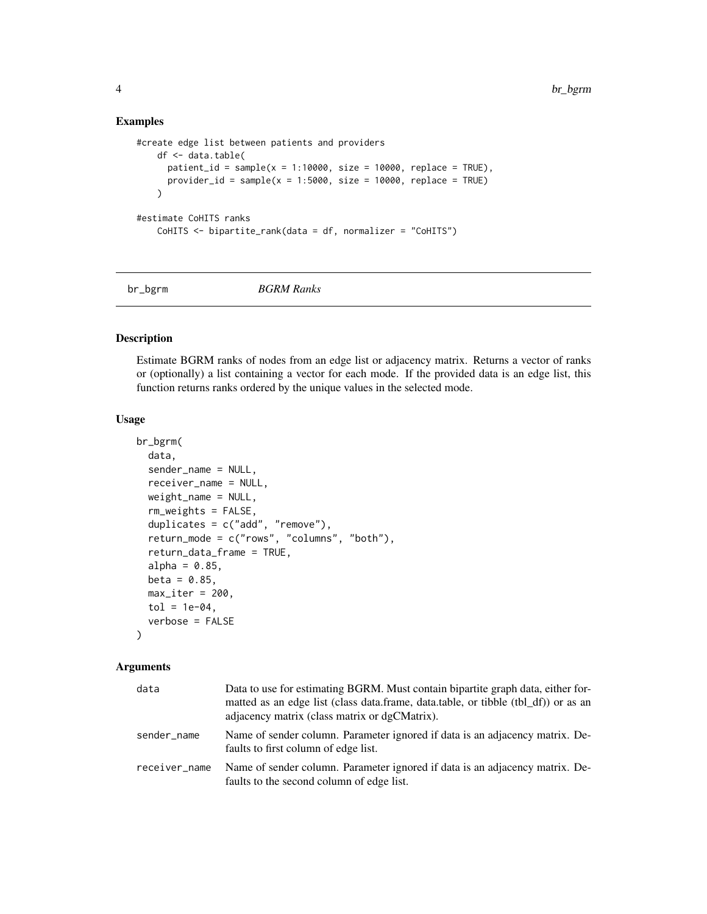# Examples

```
#create edge list between patients and providers
   df <- data.table(
      patient_id = sample(x = 1:10000, size = 10000, replace = TRUE),
      provider_id = sample(x = 1:5000, size = 10000, replace = TRUE)
   \lambda#estimate CoHITS ranks
   CoHITS <- bipartite_rank(data = df, normalizer = "CoHITS")
```
br\_bgrm *BGRM Ranks*

#### Description

Estimate BGRM ranks of nodes from an edge list or adjacency matrix. Returns a vector of ranks or (optionally) a list containing a vector for each mode. If the provided data is an edge list, this function returns ranks ordered by the unique values in the selected mode.

# Usage

```
br_bgrm(
  data,
  sender_name = NULL,
  receiver_name = NULL,
 weight_name = NULL,
  rm_weights = FALSE,
  duplicates = c("add", "remove"),
  return_mode = c("rows", "columns", "both"),
  return_data_frame = TRUE,
  alpha = 0.85,
 beta = 0.85,
 max\_iter = 200,
 tol = 1e-04,verbose = FALSE
)
```

| data          | Data to use for estimating BGRM. Must contain bipartite graph data, either for-<br>matted as an edge list (class data.frame, data.table, or tibble (tbl_df)) or as an<br>adjacency matrix (class matrix or dgCMatrix). |
|---------------|------------------------------------------------------------------------------------------------------------------------------------------------------------------------------------------------------------------------|
| sender name   | Name of sender column. Parameter ignored if data is an adjacency matrix. De-<br>faults to first column of edge list.                                                                                                   |
| receiver_name | Name of sender column. Parameter ignored if data is an adjacency matrix. De-<br>faults to the second column of edge list.                                                                                              |

<span id="page-3-0"></span>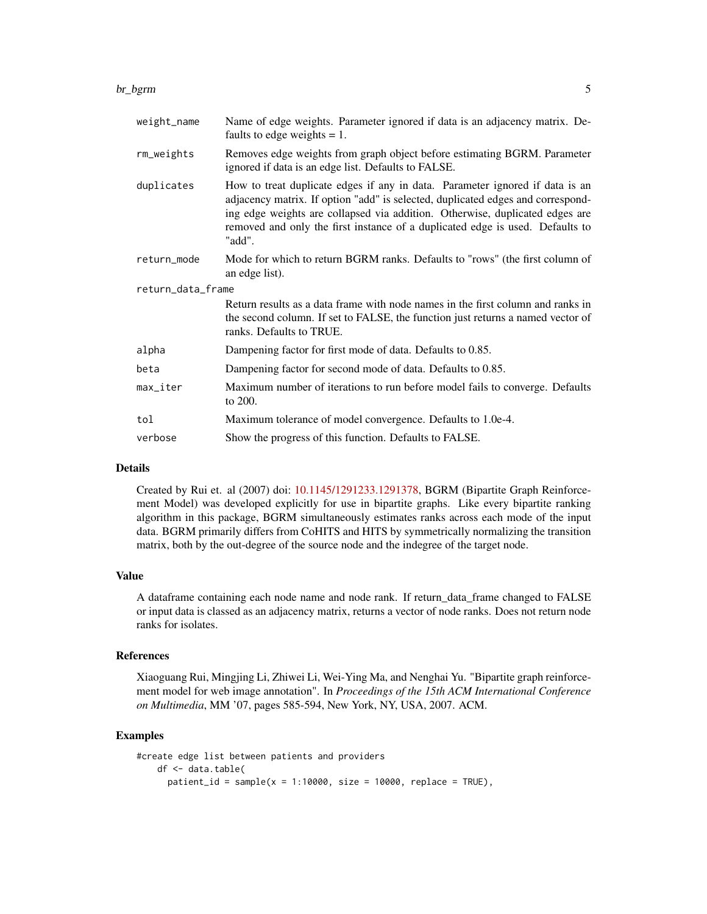#### br\_bgrm 5

| weight_name       | Name of edge weights. Parameter ignored if data is an adjacency matrix. De-<br>faults to edge weights $= 1$ .                                                                                                                                                                                                                              |
|-------------------|--------------------------------------------------------------------------------------------------------------------------------------------------------------------------------------------------------------------------------------------------------------------------------------------------------------------------------------------|
| rm_weights        | Removes edge weights from graph object before estimating BGRM. Parameter<br>ignored if data is an edge list. Defaults to FALSE.                                                                                                                                                                                                            |
| duplicates        | How to treat duplicate edges if any in data. Parameter ignored if data is an<br>adjacency matrix. If option "add" is selected, duplicated edges and correspond-<br>ing edge weights are collapsed via addition. Otherwise, duplicated edges are<br>removed and only the first instance of a duplicated edge is used. Defaults to<br>"add". |
| return_mode       | Mode for which to return BGRM ranks. Defaults to "rows" (the first column of<br>an edge list).                                                                                                                                                                                                                                             |
| return_data_frame |                                                                                                                                                                                                                                                                                                                                            |
|                   | Return results as a data frame with node names in the first column and ranks in<br>the second column. If set to FALSE, the function just returns a named vector of<br>ranks. Defaults to TRUE.                                                                                                                                             |
| alpha             | Dampening factor for first mode of data. Defaults to 0.85.                                                                                                                                                                                                                                                                                 |
| beta              | Dampening factor for second mode of data. Defaults to 0.85.                                                                                                                                                                                                                                                                                |
| max_iter          | Maximum number of iterations to run before model fails to converge. Defaults<br>to 200.                                                                                                                                                                                                                                                    |
| tol               | Maximum tolerance of model convergence. Defaults to 1.0e-4.                                                                                                                                                                                                                                                                                |
| verbose           | Show the progress of this function. Defaults to FALSE.                                                                                                                                                                                                                                                                                     |

#### Details

Created by Rui et. al (2007) doi: [10.1145/1291233.1291378,](https://doi.org/10.1145/1291233.1291378) BGRM (Bipartite Graph Reinforcement Model) was developed explicitly for use in bipartite graphs. Like every bipartite ranking algorithm in this package, BGRM simultaneously estimates ranks across each mode of the input data. BGRM primarily differs from CoHITS and HITS by symmetrically normalizing the transition matrix, both by the out-degree of the source node and the indegree of the target node.

#### Value

A dataframe containing each node name and node rank. If return\_data\_frame changed to FALSE or input data is classed as an adjacency matrix, returns a vector of node ranks. Does not return node ranks for isolates.

# References

Xiaoguang Rui, Mingjing Li, Zhiwei Li, Wei-Ying Ma, and Nenghai Yu. "Bipartite graph reinforcement model for web image annotation". In *Proceedings of the 15th ACM International Conference on Multimedia*, MM '07, pages 585-594, New York, NY, USA, 2007. ACM.

```
#create edge list between patients and providers
   df <- data.table(
     patient_id = sample(x = 1:10000, size = 10000, replace = TRUE),
```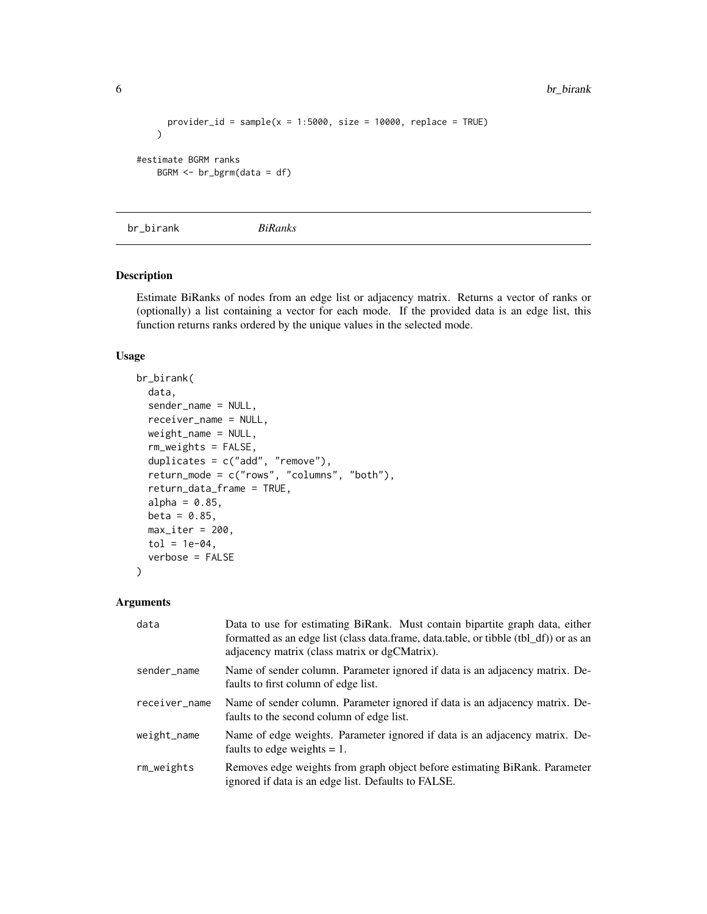```
provider_id = sample(x = 1:5000, size = 10000, replace = TRUE)
   )
#estimate BGRM ranks
   BGRM <- br_bgrm(data = df)
```

```
br_birank BiRanks
```
# Description

Estimate BiRanks of nodes from an edge list or adjacency matrix. Returns a vector of ranks or (optionally) a list containing a vector for each mode. If the provided data is an edge list, this function returns ranks ordered by the unique values in the selected mode.

# Usage

```
br_birank(
  data,
  sender_name = NULL,
  receiver_name = NULL,
  weight_name = NULL,
  rm_weights = FALSE,
  duplicates = c("add", "remove"),
  return_mode = c("rows", "columns", "both"),
  return_data_frame = TRUE,
  alpha = 0.85,
  beta = 0.85,
 max\_iter = 200,
  tol = 1e-04,verbose = FALSE
)
```

| data          | Data to use for estimating BiRank. Must contain bipartite graph data, either<br>formatted as an edge list (class data.frame, data.table, or tibble (tbl_df)) or as an<br>adjacency matrix (class matrix or dgCMatrix). |
|---------------|------------------------------------------------------------------------------------------------------------------------------------------------------------------------------------------------------------------------|
| sender_name   | Name of sender column. Parameter ignored if data is an adjacency matrix. De-<br>faults to first column of edge list.                                                                                                   |
| receiver_name | Name of sender column. Parameter ignored if data is an adjacency matrix. De-<br>faults to the second column of edge list.                                                                                              |
| weight_name   | Name of edge weights. Parameter ignored if data is an adjacency matrix. De-<br>faults to edge weights $= 1$ .                                                                                                          |
| rm_weights    | Removes edge weights from graph object before estimating BiRank. Parameter<br>ignored if data is an edge list. Defaults to FALSE.                                                                                      |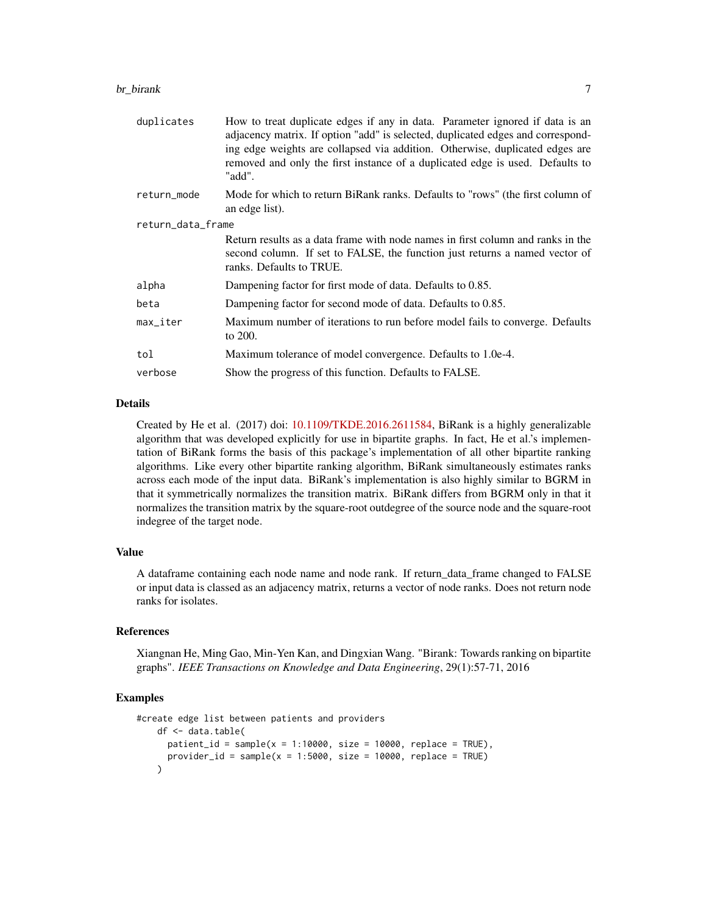#### br\_birank 7

| duplicates             | How to treat duplicate edges if any in data. Parameter ignored if data is an<br>adjacency matrix. If option "add" is selected, duplicated edges and correspond-<br>ing edge weights are collapsed via addition. Otherwise, duplicated edges are<br>removed and only the first instance of a duplicated edge is used. Defaults to<br>"add". |
|------------------------|--------------------------------------------------------------------------------------------------------------------------------------------------------------------------------------------------------------------------------------------------------------------------------------------------------------------------------------------|
| return_mode            | Mode for which to return BiRank ranks. Defaults to "rows" (the first column of<br>an edge list).                                                                                                                                                                                                                                           |
| return_data_frame      |                                                                                                                                                                                                                                                                                                                                            |
|                        | Return results as a data frame with node names in first column and ranks in the<br>second column. If set to FALSE, the function just returns a named vector of<br>ranks. Defaults to TRUE.                                                                                                                                                 |
| alpha                  | Dampening factor for first mode of data. Defaults to 0.85.                                                                                                                                                                                                                                                                                 |
| beta                   | Dampening factor for second mode of data. Defaults to 0.85.                                                                                                                                                                                                                                                                                |
| $max$ <sub>Liter</sub> | Maximum number of iterations to run before model fails to converge. Defaults<br>to 200.                                                                                                                                                                                                                                                    |
| tol                    | Maximum tolerance of model convergence. Defaults to 1.0e-4.                                                                                                                                                                                                                                                                                |
| verbose                | Show the progress of this function. Defaults to FALSE.                                                                                                                                                                                                                                                                                     |

# Details

Created by He et al. (2017) doi: [10.1109/TKDE.2016.2611584,](https://doi.org/10.1109/TKDE.2016.2611584) BiRank is a highly generalizable algorithm that was developed explicitly for use in bipartite graphs. In fact, He et al.'s implementation of BiRank forms the basis of this package's implementation of all other bipartite ranking algorithms. Like every other bipartite ranking algorithm, BiRank simultaneously estimates ranks across each mode of the input data. BiRank's implementation is also highly similar to BGRM in that it symmetrically normalizes the transition matrix. BiRank differs from BGRM only in that it normalizes the transition matrix by the square-root outdegree of the source node and the square-root indegree of the target node.

# Value

A dataframe containing each node name and node rank. If return\_data\_frame changed to FALSE or input data is classed as an adjacency matrix, returns a vector of node ranks. Does not return node ranks for isolates.

#### References

Xiangnan He, Ming Gao, Min-Yen Kan, and Dingxian Wang. "Birank: Towards ranking on bipartite graphs". *IEEE Transactions on Knowledge and Data Engineering*, 29(1):57-71, 2016

```
#create edge list between patients and providers
   df <- data.table(
     patient_id = sample(x = 1:10000, size = 10000, replace = TRUE),
     provider_id = sample(x = 1:5000, size = 10000, replace = TRUE)
   \lambda
```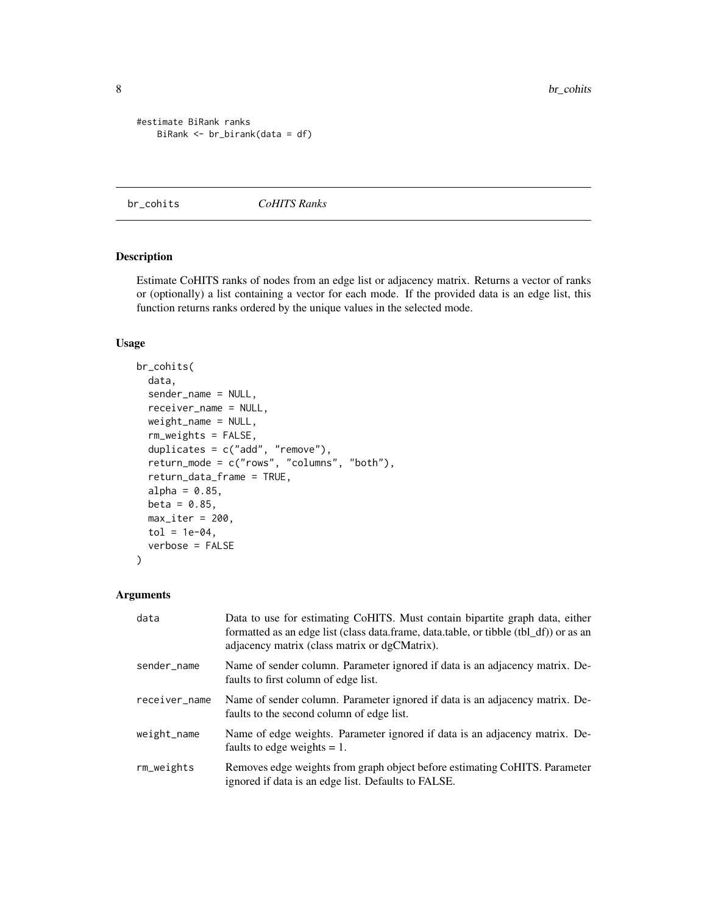```
#estimate BiRank ranks
   BiRank <- br_birank(data = df)
```
# br\_cohits *CoHITS Ranks*

# Description

Estimate CoHITS ranks of nodes from an edge list or adjacency matrix. Returns a vector of ranks or (optionally) a list containing a vector for each mode. If the provided data is an edge list, this function returns ranks ordered by the unique values in the selected mode.

# Usage

```
br_cohits(
  data,
  sender_name = NULL,
  receiver_name = NULL,
  weight_name = NULL,
  rm_weights = FALSE,
  duplicates = c("add", "remove"),
  return_mode = c("rows", "columns", "both"),
  return_data_frame = TRUE,
  alpha = 0.85,
  beta = 0.85,
  max\_iter = 200,
  tol = 1e-04,verbose = FALSE
\lambda
```

| data          | Data to use for estimating CoHITS. Must contain bipartite graph data, either<br>formatted as an edge list (class data.frame, data.table, or tibble (tbl_df)) or as an<br>adjacency matrix (class matrix or dgCMatrix). |
|---------------|------------------------------------------------------------------------------------------------------------------------------------------------------------------------------------------------------------------------|
| sender_name   | Name of sender column. Parameter ignored if data is an adjacency matrix. De-<br>faults to first column of edge list.                                                                                                   |
| receiver_name | Name of sender column. Parameter ignored if data is an adjacency matrix. De-<br>faults to the second column of edge list.                                                                                              |
| weight_name   | Name of edge weights. Parameter ignored if data is an adjacency matrix. De-<br>faults to edge weights $= 1$ .                                                                                                          |
| rm_weights    | Removes edge weights from graph object before estimating CoHITS. Parameter<br>ignored if data is an edge list. Defaults to FALSE.                                                                                      |

<span id="page-7-0"></span>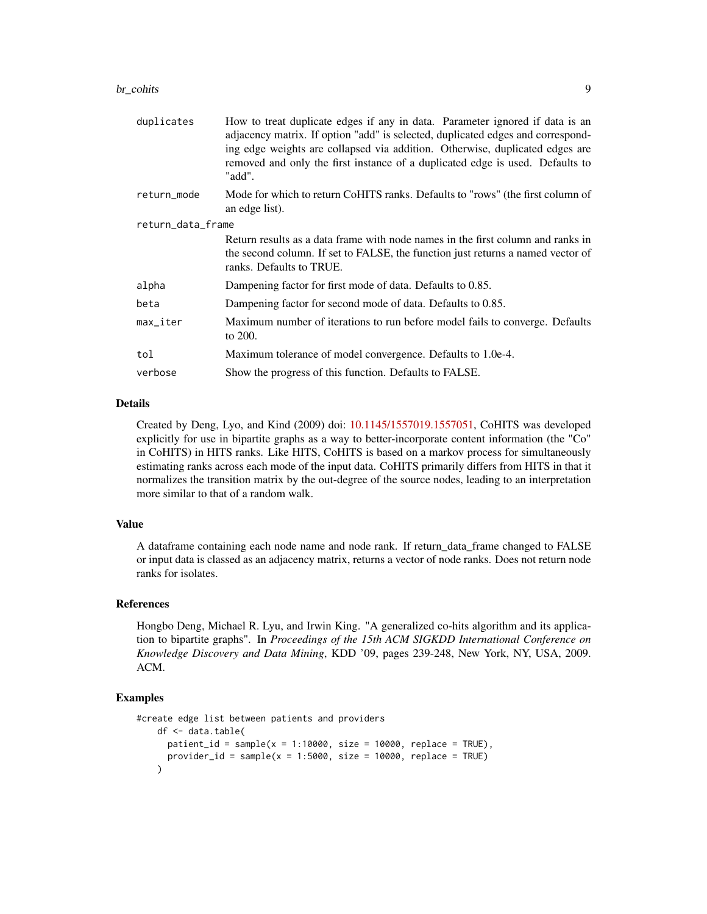#### br\_cohits 9

| duplicates             | How to treat duplicate edges if any in data. Parameter ignored if data is an<br>adjacency matrix. If option "add" is selected, duplicated edges and correspond-<br>ing edge weights are collapsed via addition. Otherwise, duplicated edges are<br>removed and only the first instance of a duplicated edge is used. Defaults to<br>"add". |  |  |  |  |
|------------------------|--------------------------------------------------------------------------------------------------------------------------------------------------------------------------------------------------------------------------------------------------------------------------------------------------------------------------------------------|--|--|--|--|
| return_mode            | Mode for which to return CoHITS ranks. Defaults to "rows" (the first column of<br>an edge list).                                                                                                                                                                                                                                           |  |  |  |  |
| return_data_frame      |                                                                                                                                                                                                                                                                                                                                            |  |  |  |  |
|                        | Return results as a data frame with node names in the first column and ranks in<br>the second column. If set to FALSE, the function just returns a named vector of<br>ranks. Defaults to TRUE.                                                                                                                                             |  |  |  |  |
| alpha                  | Dampening factor for first mode of data. Defaults to 0.85.                                                                                                                                                                                                                                                                                 |  |  |  |  |
| beta                   | Dampening factor for second mode of data. Defaults to 0.85.                                                                                                                                                                                                                                                                                |  |  |  |  |
| $max$ <sub>Liter</sub> | Maximum number of iterations to run before model fails to converge. Defaults<br>to 200.                                                                                                                                                                                                                                                    |  |  |  |  |
| tol                    | Maximum tolerance of model convergence. Defaults to 1.0e-4.                                                                                                                                                                                                                                                                                |  |  |  |  |
| verbose                | Show the progress of this function. Defaults to FALSE.                                                                                                                                                                                                                                                                                     |  |  |  |  |

# Details

Created by Deng, Lyo, and Kind (2009) doi: [10.1145/1557019.1557051,](https://doi.org/10.1145/1557019.1557051) CoHITS was developed explicitly for use in bipartite graphs as a way to better-incorporate content information (the "Co" in CoHITS) in HITS ranks. Like HITS, CoHITS is based on a markov process for simultaneously estimating ranks across each mode of the input data. CoHITS primarily differs from HITS in that it normalizes the transition matrix by the out-degree of the source nodes, leading to an interpretation more similar to that of a random walk.

#### Value

A dataframe containing each node name and node rank. If return\_data\_frame changed to FALSE or input data is classed as an adjacency matrix, returns a vector of node ranks. Does not return node ranks for isolates.

# References

Hongbo Deng, Michael R. Lyu, and Irwin King. "A generalized co-hits algorithm and its application to bipartite graphs". In *Proceedings of the 15th ACM SIGKDD International Conference on Knowledge Discovery and Data Mining*, KDD '09, pages 239-248, New York, NY, USA, 2009. ACM.

```
#create edge list between patients and providers
   df <- data.table(
     patient_id = sample(x = 1:10000, size = 10000, replace = TRUE),
     provider_id = sample(x = 1:5000, size = 10000, replace = TRUE)
   \lambda
```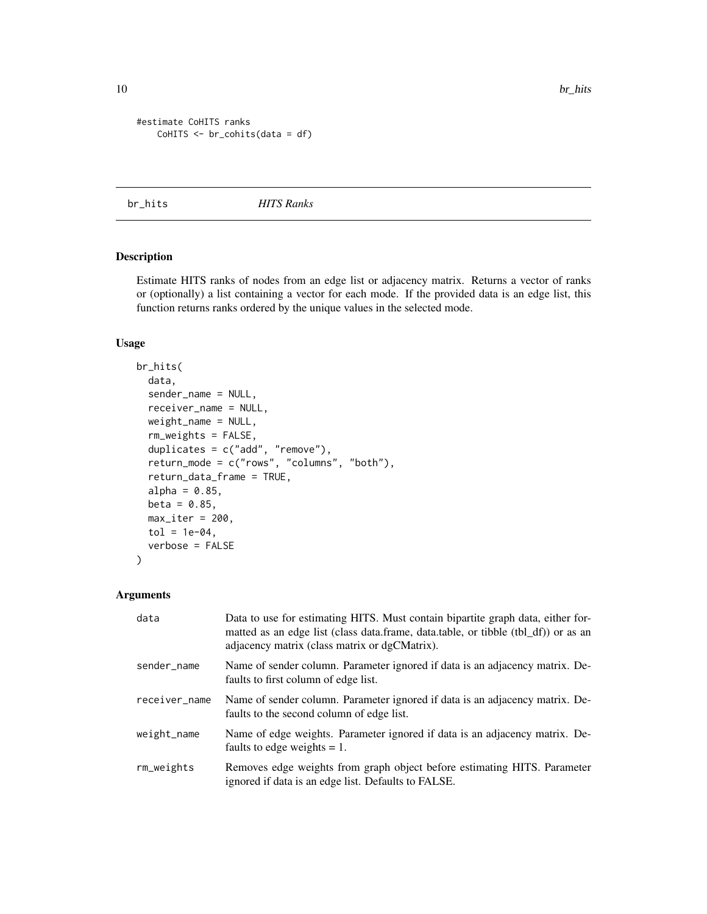10 br\_hits control of the state of the state of the state of the state of the state of the state of the state of the state of the state of the state of the state of the state of the state of the state of the state of the s

```
#estimate CoHITS ranks
   CoHITS <- br_cohits(data = df)
```
br\_hits *HITS Ranks*

# Description

Estimate HITS ranks of nodes from an edge list or adjacency matrix. Returns a vector of ranks or (optionally) a list containing a vector for each mode. If the provided data is an edge list, this function returns ranks ordered by the unique values in the selected mode.

# Usage

```
br_hits(
  data,
  sender_name = NULL,
  receiver_name = NULL,
  weight_name = NULL,
  rm_weights = FALSE,
  duplicates = c("add", "remove"),
  return_mode = c("rows", "columns", "both"),
  return_data_frame = TRUE,
  alpha = 0.85,
  beta = 0.85,
  max\_iter = 200,
  tol = 1e-04,verbose = FALSE
)
```

| data          | Data to use for estimating HITS. Must contain bipartite graph data, either for-<br>matted as an edge list (class data.frame, data.table, or tibble (tbl_df)) or as an<br>adjacency matrix (class matrix or dgCMatrix). |
|---------------|------------------------------------------------------------------------------------------------------------------------------------------------------------------------------------------------------------------------|
| sender_name   | Name of sender column. Parameter ignored if data is an adjacency matrix. De-<br>faults to first column of edge list.                                                                                                   |
| receiver_name | Name of sender column. Parameter ignored if data is an adjacency matrix. De-<br>faults to the second column of edge list.                                                                                              |
| weight_name   | Name of edge weights. Parameter ignored if data is an adjacency matrix. De-<br>faults to edge weights $= 1$ .                                                                                                          |
| rm_weights    | Removes edge weights from graph object before estimating HITS. Parameter<br>ignored if data is an edge list. Defaults to FALSE.                                                                                        |

<span id="page-9-0"></span>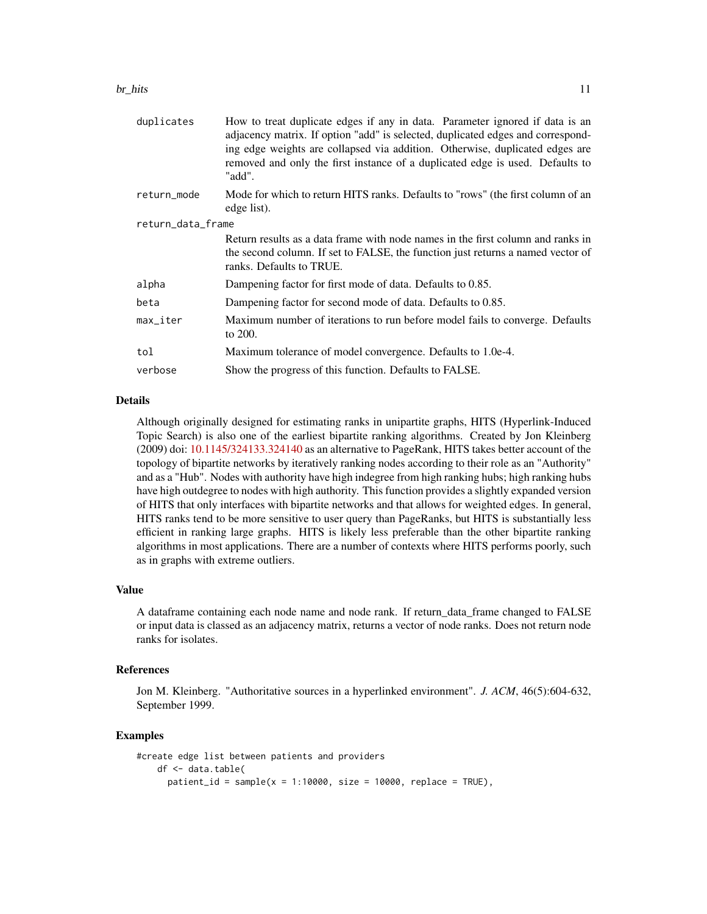#### $b$ r\_hits 11

| duplicates        | How to treat duplicate edges if any in data. Parameter ignored if data is an<br>adjacency matrix. If option "add" is selected, duplicated edges and correspond-<br>ing edge weights are collapsed via addition. Otherwise, duplicated edges are<br>removed and only the first instance of a duplicated edge is used. Defaults to<br>"add". |  |
|-------------------|--------------------------------------------------------------------------------------------------------------------------------------------------------------------------------------------------------------------------------------------------------------------------------------------------------------------------------------------|--|
| return_mode       | Mode for which to return HITS ranks. Defaults to "rows" (the first column of an<br>edge list).                                                                                                                                                                                                                                             |  |
| return_data_frame |                                                                                                                                                                                                                                                                                                                                            |  |
|                   | Return results as a data frame with node names in the first column and ranks in<br>the second column. If set to FALSE, the function just returns a named vector of<br>ranks. Defaults to TRUE.                                                                                                                                             |  |
| alpha             | Dampening factor for first mode of data. Defaults to 0.85.                                                                                                                                                                                                                                                                                 |  |
| beta              | Dampening factor for second mode of data. Defaults to 0.85.                                                                                                                                                                                                                                                                                |  |
| max_iter          | Maximum number of iterations to run before model fails to converge. Defaults<br>to 200.                                                                                                                                                                                                                                                    |  |
| tol               | Maximum tolerance of model convergence. Defaults to 1.0e-4.                                                                                                                                                                                                                                                                                |  |
| verbose           | Show the progress of this function. Defaults to FALSE.                                                                                                                                                                                                                                                                                     |  |

# Details

Although originally designed for estimating ranks in unipartite graphs, HITS (Hyperlink-Induced Topic Search) is also one of the earliest bipartite ranking algorithms. Created by Jon Kleinberg (2009) doi: [10.1145/324133.324140](https://doi.org/10.1145/324133.324140) as an alternative to PageRank, HITS takes better account of the topology of bipartite networks by iteratively ranking nodes according to their role as an "Authority" and as a "Hub". Nodes with authority have high indegree from high ranking hubs; high ranking hubs have high outdegree to nodes with high authority. This function provides a slightly expanded version of HITS that only interfaces with bipartite networks and that allows for weighted edges. In general, HITS ranks tend to be more sensitive to user query than PageRanks, but HITS is substantially less efficient in ranking large graphs. HITS is likely less preferable than the other bipartite ranking algorithms in most applications. There are a number of contexts where HITS performs poorly, such as in graphs with extreme outliers.

#### Value

A dataframe containing each node name and node rank. If return\_data\_frame changed to FALSE or input data is classed as an adjacency matrix, returns a vector of node ranks. Does not return node ranks for isolates.

#### References

Jon M. Kleinberg. "Authoritative sources in a hyperlinked environment". *J. ACM*, 46(5):604-632, September 1999.

```
#create edge list between patients and providers
   df <- data.table(
     patient_id = sample(x = 1:10000, size = 10000, replace = TRUE),
```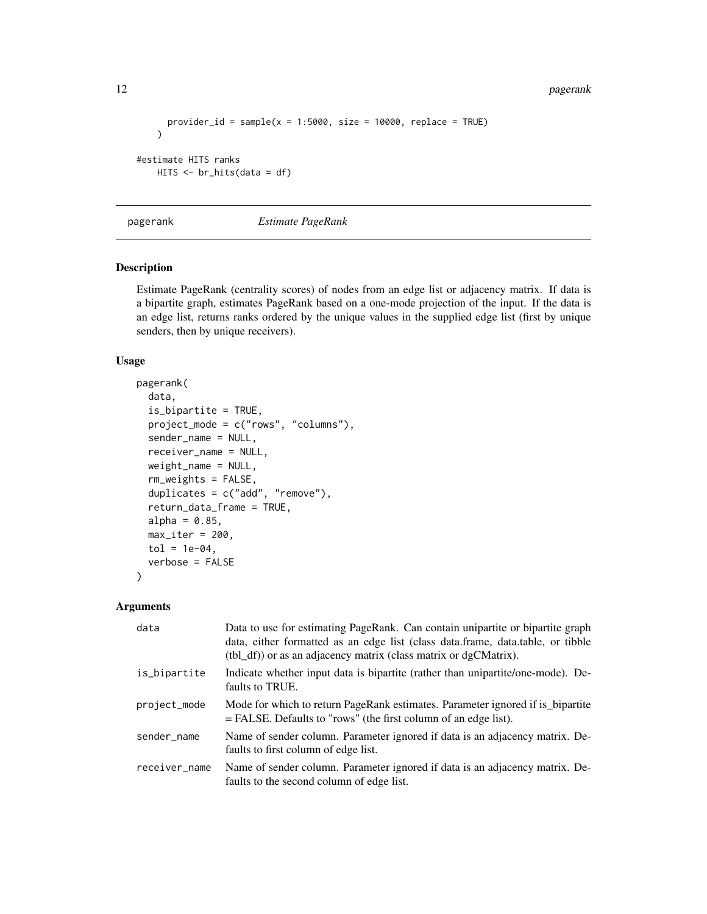<span id="page-11-0"></span>12 pagerank and the set of the set of the set of the set of the set of the set of the set of the set of the set of the set of the set of the set of the set of the set of the set of the set of the set of the set of the set

```
provider_id = sample(x = 1:5000, size = 10000, replace = TRUE)
   )
#estimate HITS ranks
   HITS <- br_hits(data = df)
```
pagerank *Estimate PageRank*

# Description

Estimate PageRank (centrality scores) of nodes from an edge list or adjacency matrix. If data is a bipartite graph, estimates PageRank based on a one-mode projection of the input. If the data is an edge list, returns ranks ordered by the unique values in the supplied edge list (first by unique senders, then by unique receivers).

# Usage

```
pagerank(
  data,
  is_bipartite = TRUE,
 project_mode = c("rows", "columns"),
  sender_name = NULL,
  receiver_name = NULL,
  weight_name = NULL,
  rm_weights = FALSE,
  duplicates = c("add", "remove"),
  return_data_frame = TRUE,
  alpha = 0.85,
  max\_iter = 200,
  tol = 1e-04,verbose = FALSE
)
```

| data          | Data to use for estimating PageRank. Can contain unipartite or bipartite graph<br>data, either formatted as an edge list (class data.frame, data.table, or tibble<br>$(tbl_d f)$ or as an adjacency matrix (class matrix or dgCMatrix). |
|---------------|-----------------------------------------------------------------------------------------------------------------------------------------------------------------------------------------------------------------------------------------|
| is_bipartite  | Indicate whether input data is bipartite (rather than unipartite/one-mode). De-<br>faults to TRUE.                                                                                                                                      |
| project_mode  | Mode for which to return PageRank estimates. Parameter ignored if is bipartite<br>$=$ FALSE. Defaults to "rows" (the first column of an edge list).                                                                                     |
| sender_name   | Name of sender column. Parameter ignored if data is an adjacency matrix. De-<br>faults to first column of edge list.                                                                                                                    |
| receiver_name | Name of sender column. Parameter ignored if data is an adjacency matrix. De-<br>faults to the second column of edge list.                                                                                                               |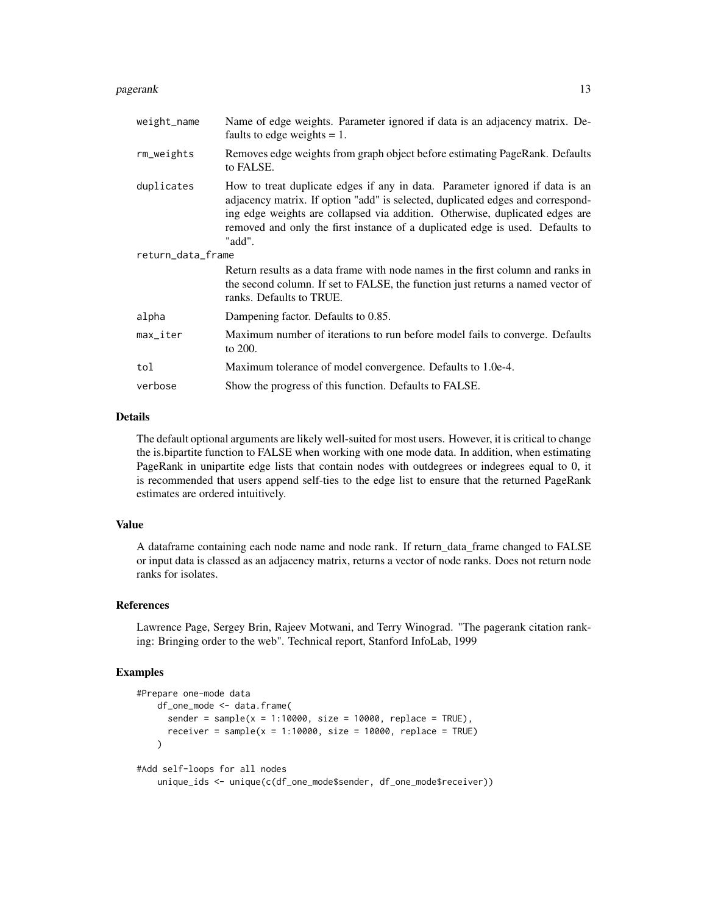#### pagerank 13

| weight_name            | Name of edge weights. Parameter ignored if data is an adjacency matrix. De-<br>faults to edge weights $= 1$ .                                                                                                                                                                                                                              |  |
|------------------------|--------------------------------------------------------------------------------------------------------------------------------------------------------------------------------------------------------------------------------------------------------------------------------------------------------------------------------------------|--|
| rm_weights             | Removes edge weights from graph object before estimating PageRank. Defaults<br>to FALSE.                                                                                                                                                                                                                                                   |  |
| duplicates             | How to treat duplicate edges if any in data. Parameter ignored if data is an<br>adjacency matrix. If option "add" is selected, duplicated edges and correspond-<br>ing edge weights are collapsed via addition. Otherwise, duplicated edges are<br>removed and only the first instance of a duplicated edge is used. Defaults to<br>"add". |  |
| return_data_frame      |                                                                                                                                                                                                                                                                                                                                            |  |
|                        | Return results as a data frame with node names in the first column and ranks in<br>the second column. If set to FALSE, the function just returns a named vector of<br>ranks. Defaults to TRUE.                                                                                                                                             |  |
| alpha                  | Dampening factor. Defaults to 0.85.                                                                                                                                                                                                                                                                                                        |  |
| $max$ <sub>Liter</sub> | Maximum number of iterations to run before model fails to converge. Defaults<br>to 200.                                                                                                                                                                                                                                                    |  |
| tol                    | Maximum tolerance of model convergence. Defaults to 1.0e-4.                                                                                                                                                                                                                                                                                |  |
| verbose                | Show the progress of this function. Defaults to FALSE.                                                                                                                                                                                                                                                                                     |  |

# Details

The default optional arguments are likely well-suited for most users. However, it is critical to change the is.bipartite function to FALSE when working with one mode data. In addition, when estimating PageRank in unipartite edge lists that contain nodes with outdegrees or indegrees equal to 0, it is recommended that users append self-ties to the edge list to ensure that the returned PageRank estimates are ordered intuitively.

#### Value

A dataframe containing each node name and node rank. If return\_data\_frame changed to FALSE or input data is classed as an adjacency matrix, returns a vector of node ranks. Does not return node ranks for isolates.

#### References

Lawrence Page, Sergey Brin, Rajeev Motwani, and Terry Winograd. "The pagerank citation ranking: Bringing order to the web". Technical report, Stanford InfoLab, 1999

```
#Prepare one-mode data
   df_one_mode <- data.frame(
     sender = sample(x = 1:10000, size = 10000, replace = TRUE),
     receiver = sample(x = 1:10000, size = 10000, replace = TRUE)\lambda#Add self-loops for all nodes
   unique_ids <- unique(c(df_one_mode$sender, df_one_mode$receiver))
```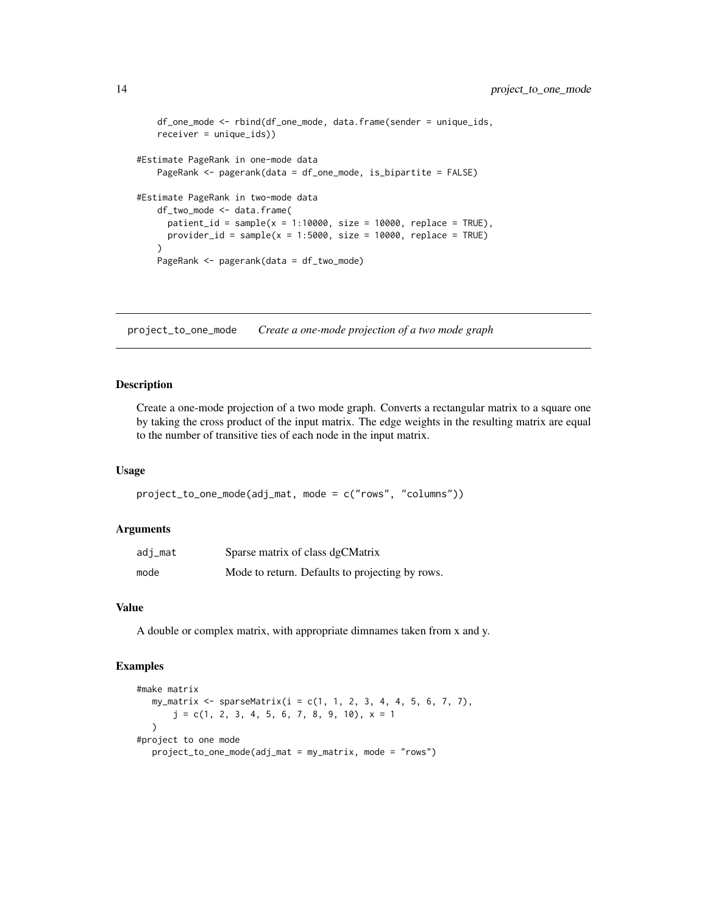```
df_one_mode <- rbind(df_one_mode, data.frame(sender = unique_ids,
    receiver = unique_ids))
#Estimate PageRank in one-mode data
   PageRank <- pagerank(data = df_one_mode, is_bipartite = FALSE)
#Estimate PageRank in two-mode data
   df_two_mode <- data.frame(
     patient_id = sample(x = 1:10000, size = 10000, replace = TRUE),
     provider_id = sample(x = 1:5000, size = 10000, replace = TRUE)
    \lambdaPageRank <- pagerank(data = df_two_mode)
```
project\_to\_one\_mode *Create a one-mode projection of a two mode graph*

#### Description

Create a one-mode projection of a two mode graph. Converts a rectangular matrix to a square one by taking the cross product of the input matrix. The edge weights in the resulting matrix are equal to the number of transitive ties of each node in the input matrix.

# Usage

```
project_to_one_mode(adj_mat, mode = c("rows", "columns"))
```
#### **Arguments**

| adi_mat | Sparse matrix of class dgCMatrix                |
|---------|-------------------------------------------------|
| mode    | Mode to return. Defaults to projecting by rows. |

# Value

A double or complex matrix, with appropriate dimnames taken from x and y.

```
#make matrix
  my_matrix <- sparseMatrix(i = c(1, 1, 2, 3, 4, 4, 5, 6, 7, 7),
      j = c(1, 2, 3, 4, 5, 6, 7, 8, 9, 10), x = 1)
#project to one mode
  project_to_one_mode(adj_mat = my_matrix, mode = "rows")
```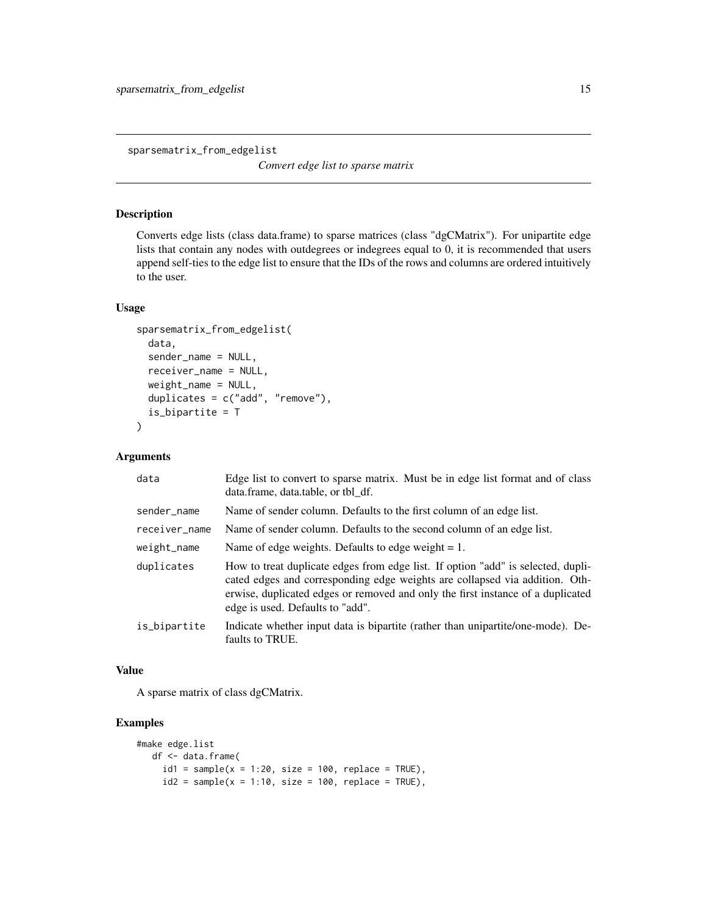<span id="page-14-0"></span>sparsematrix\_from\_edgelist

*Convert edge list to sparse matrix*

#### Description

Converts edge lists (class data.frame) to sparse matrices (class "dgCMatrix"). For unipartite edge lists that contain any nodes with outdegrees or indegrees equal to 0, it is recommended that users append self-ties to the edge list to ensure that the IDs of the rows and columns are ordered intuitively to the user.

#### Usage

```
sparsematrix_from_edgelist(
  data,
  sender_name = NULL,
  receiver_name = NULL,
  weight_name = NULL,
  duplicates = c("add", "remove"),
  is_bipartite = T
)
```
### Arguments

| data          | Edge list to convert to sparse matrix. Must be in edge list format and of class<br>data.frame, data.table, or tbl df.                                                                                                                                                                  |
|---------------|----------------------------------------------------------------------------------------------------------------------------------------------------------------------------------------------------------------------------------------------------------------------------------------|
| sender_name   | Name of sender column. Defaults to the first column of an edge list.                                                                                                                                                                                                                   |
| receiver_name | Name of sender column. Defaults to the second column of an edge list.                                                                                                                                                                                                                  |
| weight_name   | Name of edge weights. Defaults to edge weight $= 1$ .                                                                                                                                                                                                                                  |
| duplicates    | How to treat duplicate edges from edge list. If option "add" is selected, dupli-<br>cated edges and corresponding edge weights are collapsed via addition. Oth-<br>erwise, duplicated edges or removed and only the first instance of a duplicated<br>edge is used. Defaults to "add". |
| is_bipartite  | Indicate whether input data is bipartite (rather than unipartite/one-mode). De-<br>faults to TRUE.                                                                                                                                                                                     |

### Value

A sparse matrix of class dgCMatrix.

```
#make edge.list
  df <- data.frame(
    id1 = sample(x = 1:20, size = 100, replace = TRUE),
    id2 = sample(x = 1:10, size = 100, replace = TRUE),
```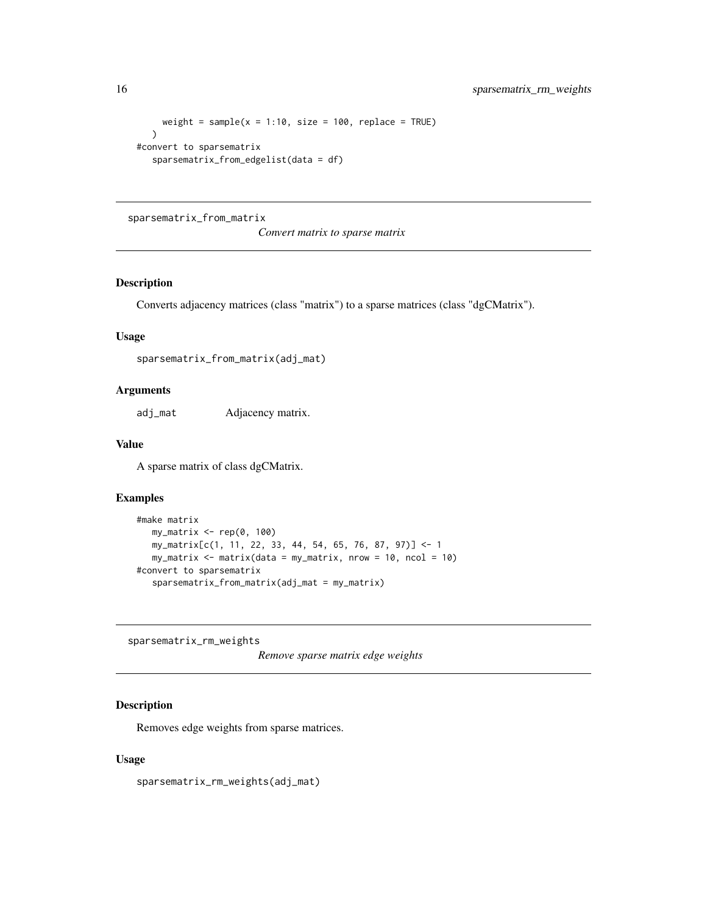```
weight = sample(x = 1:10, size = 100, replace = TRUE)
   \lambda#convert to sparsematrix
   sparsematrix_from_edgelist(data = df)
```
# sparsematrix\_from\_matrix

*Convert matrix to sparse matrix*

# Description

Converts adjacency matrices (class "matrix") to a sparse matrices (class "dgCMatrix").

# Usage

```
sparsematrix_from_matrix(adj_mat)
```
### Arguments

adj\_mat Adjacency matrix.

# Value

A sparse matrix of class dgCMatrix.

# Examples

```
#make matrix
  my_matrix <- rep(0, 100)
  my_matrix[c(1, 11, 22, 33, 44, 54, 65, 76, 87, 97)] <- 1
  my_matrix <- matrix(data = my_matrix, nrow = 10, ncol = 10)
#convert to sparsematrix
  sparsematrix_from_matrix(adj_mat = my_matrix)
```
sparsematrix\_rm\_weights

```
Remove sparse matrix edge weights
```
# Description

Removes edge weights from sparse matrices.

#### Usage

sparsematrix\_rm\_weights(adj\_mat)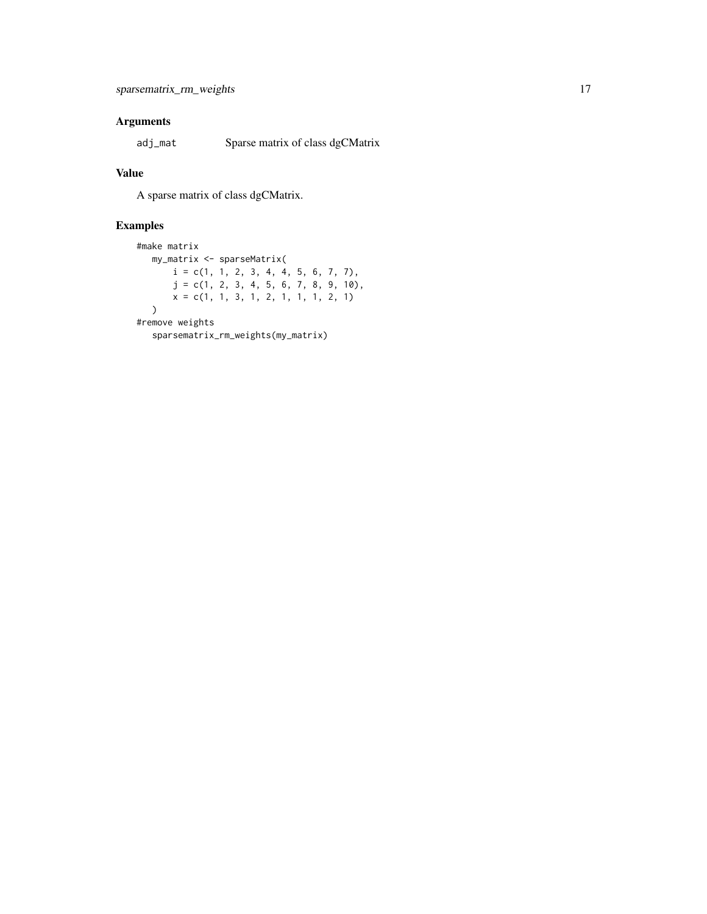# Arguments

adj\_mat Sparse matrix of class dgCMatrix

# Value

A sparse matrix of class dgCMatrix.

```
#make matrix
  my_matrix <- sparseMatrix(
       i = c(1, 1, 2, 3, 4, 4, 5, 6, 7, 7),j = c(1, 2, 3, 4, 5, 6, 7, 8, 9, 10),
      x = c(1, 1, 3, 1, 2, 1, 1, 1, 2, 1))
#remove weights
  sparsematrix_rm_weights(my_matrix)
```